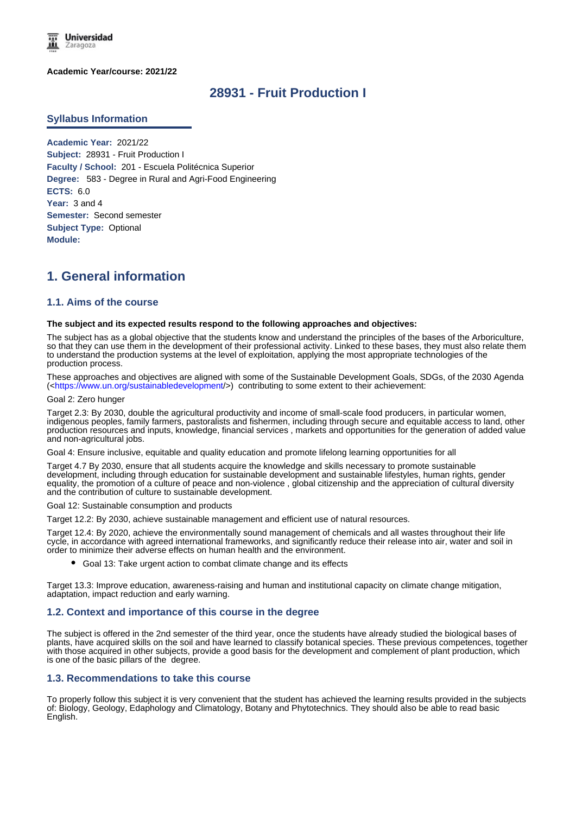

**Academic Year/course: 2021/22**

# **28931 - Fruit Production I**

### **Syllabus Information**

**Academic Year:** 2021/22 **Subject:** 28931 - Fruit Production I **Faculty / School:** 201 - Escuela Politécnica Superior **Degree:** 583 - Degree in Rural and Agri-Food Engineering **ECTS:** 6.0 Year: 3 and 4 **Semester:** Second semester **Subject Type:** Optional **Module:**

# **1. General information**

## **1.1. Aims of the course**

#### **The subject and its expected results respond to the following approaches and objectives:**

The subject has as a global objective that the students know and understand the principles of the bases of the Arboriculture, so that they can use them in the development of their professional activity. Linked to these bases, they must also relate them to understand the production systems at the level of exploitation, applying the most appropriate technologies of the production process.

These approaches and objectives are aligned with some of the Sustainable Development Goals, SDGs, of the 2030 Agenda (<https://www.un.org/sustainabledevelopment/>) contributing to some extent to their achievement:

#### Goal 2: Zero hunger

Target 2.3: By 2030, double the agricultural productivity and income of small-scale food producers, in particular women, indigenous peoples, family farmers, pastoralists and fishermen, including through secure and equitable access to land, other production resources and inputs, knowledge, financial services , markets and opportunities for the generation of added value and non-agricultural jobs.

Goal 4: Ensure inclusive, equitable and quality education and promote lifelong learning opportunities for all

Target 4.7 By 2030, ensure that all students acquire the knowledge and skills necessary to promote sustainable development, including through education for sustainable development and sustainable lifestyles, human rights, gender equality, the promotion of a culture of peace and non-violence , global citizenship and the appreciation of cultural diversity and the contribution of culture to sustainable development.

Goal 12: Sustainable consumption and products

Target 12.2: By 2030, achieve sustainable management and efficient use of natural resources.

Target 12.4: By 2020, achieve the environmentally sound management of chemicals and all wastes throughout their life cycle, in accordance with agreed international frameworks, and significantly reduce their release into air, water and soil in order to minimize their adverse effects on human health and the environment.

Goal 13: Take urgent action to combat climate change and its effects

Target 13.3: Improve education, awareness-raising and human and institutional capacity on climate change mitigation, adaptation, impact reduction and early warning.

#### **1.2. Context and importance of this course in the degree**

The subject is offered in the 2nd semester of the third year, once the students have already studied the biological bases of plants, have acquired skills on the soil and have learned to classify botanical species. These previous competences, together with those acquired in other subjects, provide a good basis for the development and complement of plant production, which is one of the basic pillars of the degree.

#### **1.3. Recommendations to take this course**

To properly follow this subject it is very convenient that the student has achieved the learning results provided in the subjects of: Biology, Geology, Edaphology and Climatology, Botany and Phytotechnics. They should also be able to read basic English.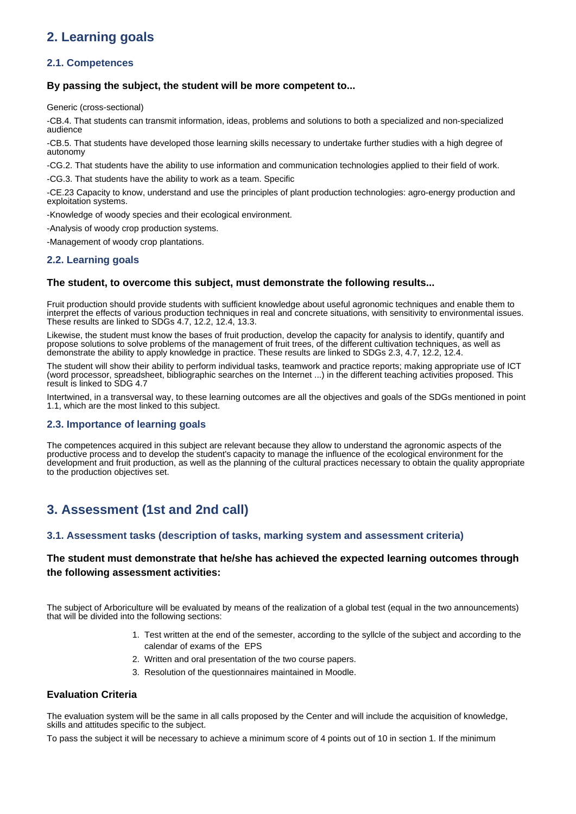# **2. Learning goals**

## **2.1. Competences**

## **By passing the subject, the student will be more competent to...**

Generic (cross-sectional)

-CB.4. That students can transmit information, ideas, problems and solutions to both a specialized and non-specialized audience

-CB.5. That students have developed those learning skills necessary to undertake further studies with a high degree of autonomy

-CG.2. That students have the ability to use information and communication technologies applied to their field of work.

-CG.3. That students have the ability to work as a team. Specific

-CE.23 Capacity to know, understand and use the principles of plant production technologies: agro-energy production and exploitation systems.

-Knowledge of woody species and their ecological environment.

-Analysis of woody crop production systems.

-Management of woody crop plantations.

# **2.2. Learning goals**

## **The student, to overcome this subject, must demonstrate the following results...**

Fruit production should provide students with sufficient knowledge about useful agronomic techniques and enable them to interpret the effects of various production techniques in real and concrete situations, with sensitivity to environmental issues. These results are linked to SDGs 4.7, 12.2, 12.4, 13.3.

Likewise, the student must know the bases of fruit production, develop the capacity for analysis to identify, quantify and propose solutions to solve problems of the management of fruit trees, of the different cultivation techniques, as well as demonstrate the ability to apply knowledge in practice. These results are linked to SDGs 2.3, 4.7, 12.2, 12.4.

The student will show their ability to perform individual tasks, teamwork and practice reports; making appropriate use of ICT (word processor, spreadsheet, bibliographic searches on the Internet ...) in the different teaching activities proposed. This result is linked to SDG 4.7

Intertwined, in a transversal way, to these learning outcomes are all the objectives and goals of the SDGs mentioned in point 1.1, which are the most linked to this subject.

## **2.3. Importance of learning goals**

The competences acquired in this subject are relevant because they allow to understand the agronomic aspects of the productive process and to develop the student's capacity to manage the influence of the ecological environment for the development and fruit production, as well as the planning of the cultural practices necessary to obtain the quality appropriate to the production objectives set.

# **3. Assessment (1st and 2nd call)**

## **3.1. Assessment tasks (description of tasks, marking system and assessment criteria)**

# **The student must demonstrate that he/she has achieved the expected learning outcomes through the following assessment activities:**

The subject of Arboriculture will be evaluated by means of the realization of a global test (equal in the two announcements) that will be divided into the following sections:

- 1. Test written at the end of the semester, according to the syllcle of the subject and according to the calendar of exams of the EPS
- 2. Written and oral presentation of the two course papers.
- 3. Resolution of the questionnaires maintained in Moodle.

## **Evaluation Criteria**

The evaluation system will be the same in all calls proposed by the Center and will include the acquisition of knowledge, skills and attitudes specific to the subject.

To pass the subject it will be necessary to achieve a minimum score of 4 points out of 10 in section 1. If the minimum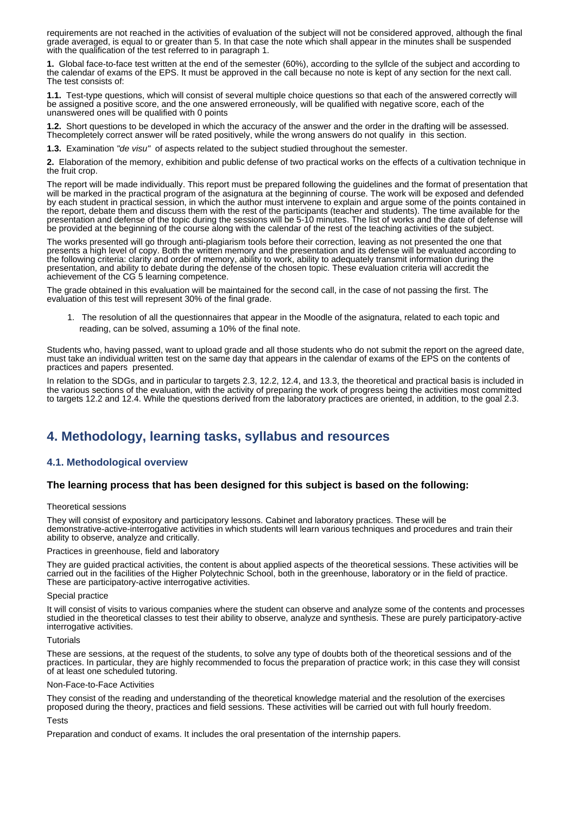requirements are not reached in the activities of evaluation of the subject will not be considered approved, although the final grade averaged, is equal to or greater than 5. In that case the note which shall appear in the minutes shall be suspended with the qualification of the test referred to in paragraph 1.

**1.** Global face-to-face test written at the end of the semester (60%), according to the syllcle of the subject and according to the calendar of exams of the EPS. It must be approved in the call because no note is kept of any section for the next call. The test consists of:

**1.1.**  Test-type questions, which will consist of several multiple choice questions so that each of the answered correctly will be assigned a positive score, and the one answered erroneously, will be qualified with negative score, each of the unanswered ones will be qualified with 0 points

**1.2.**  Short questions to be developed in which the accuracy of the answer and the order in the drafting will be assessed. Thecompletely correct answer will be rated positively, while the wrong answers do not qualify in this section.

**1.3.** Examination "de visu" of aspects related to the subject studied throughout the semester.

**2.** Elaboration of the memory, exhibition and public defense of two practical works on the effects of a cultivation technique in the fruit crop.

The report will be made individually. This report must be prepared following the guidelines and the format of presentation that will be marked in the practical program of the asignatura at the beginning of course. The work will be exposed and defended by each student in practical session, in which the author must intervene to explain and argue some of the points contained in the report, debate them and discuss them with the rest of the participants (teacher and students). The time available for the presentation and defense of the topic during the sessions will be 5-10 minutes. The list of works and the date of defense will be provided at the beginning of the course along with the calendar of the rest of the teaching activities of the subject.

The works presented will go through anti-plagiarism tools before their correction, leaving as not presented the one that presents a high level of copy. Both the written memory and the presentation and its defense will be evaluated according to the following criteria: clarity and order of memory, ability to work, ability to adequately transmit information during the presentation, and ability to debate during the defense of the chosen topic. These evaluation criteria will accredit the achievement of the CG 5 learning competence.

The grade obtained in this evaluation will be maintained for the second call, in the case of not passing the first. The evaluation of this test will represent 30% of the final grade.

1. The resolution of all the questionnaires that appear in the Moodle of the asignatura, related to each topic and reading, can be solved, assuming a 10% of the final note.

Students who, having passed, want to upload grade and all those students who do not submit the report on the agreed date, must take an individual written test on the same day that appears in the calendar of exams of the EPS on the contents of practices and papers presented.

In relation to the SDGs, and in particular to targets 2.3, 12.2, 12.4, and 13.3, the theoretical and practical basis is included in the various sections of the evaluation, with the activity of preparing the work of progress being the activities most committed to targets 12.2 and 12.4. While the questions derived from the laboratory practices are oriented, in addition, to the goal 2.3.

# **4. Methodology, learning tasks, syllabus and resources**

## **4.1. Methodological overview**

#### **The learning process that has been designed for this subject is based on the following:**

#### Theoretical sessions

They will consist of expository and participatory lessons. Cabinet and laboratory practices. These will be demonstrative-active-interrogative activities in which students will learn various techniques and procedures and train their ability to observe, analyze and critically.

#### Practices in greenhouse, field and laboratory

They are guided practical activities, the content is about applied aspects of the theoretical sessions. These activities will be carried out in the facilities of the Higher Polytechnic School, both in the greenhouse, laboratory or in the field of practice. These are participatory-active interrogative activities.

#### Special practice

It will consist of visits to various companies where the student can observe and analyze some of the contents and processes studied in the theoretical classes to test their ability to observe, analyze and synthesis. These are purely participatory-active interrogative activities.

#### **Tutorials**

These are sessions, at the request of the students, to solve any type of doubts both of the theoretical sessions and of the practices. In particular, they are highly recommended to focus the preparation of practice work; in this case they will consist of at least one scheduled tutoring.

#### Non-Face-to-Face Activities

They consist of the reading and understanding of the theoretical knowledge material and the resolution of the exercises proposed during the theory, practices and field sessions. These activities will be carried out with full hourly freedom.

#### **Tacts**

Preparation and conduct of exams. It includes the oral presentation of the internship papers.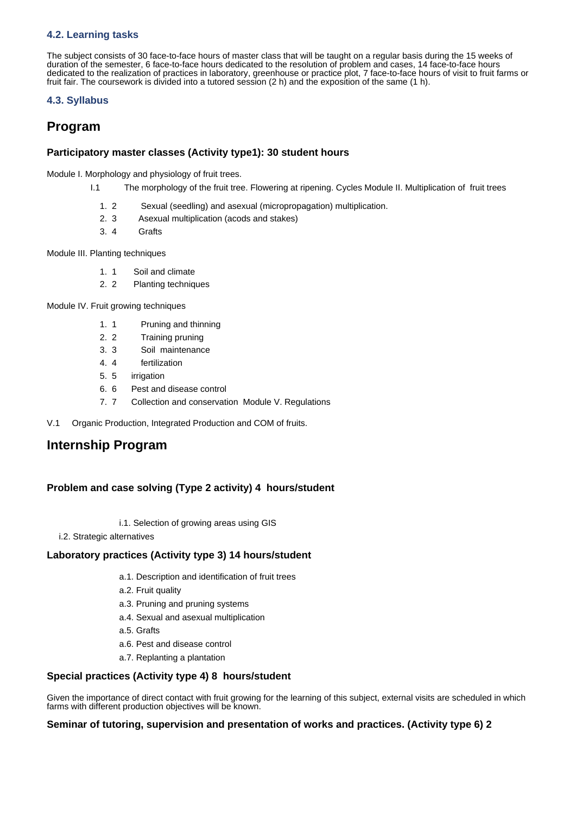# **4.2. Learning tasks**

The subject consists of 30 face-to-face hours of master class that will be taught on a regular basis during the 15 weeks of duration of the semester, 6 face-to-face hours dedicated to the resolution of problem and cases, 14 face-to-face hours dedicated to the realization of practices in laboratory, greenhouse or practice plot, 7 face-to-face hours of visit to fruit farms or fruit fair. The coursework is divided into a tutored session (2 h) and the exposition of the same (1 h).

# **4.3. Syllabus**

# **Program**

# **Participatory master classes (Activity type1): 30 student hours**

Module I. Morphology and physiology of fruit trees.

- I.1 The morphology of the fruit tree. Flowering at ripening. Cycles Module II. Multiplication of fruit trees
	- 1. Sexual (seedling) and asexual (micropropagation) multiplication.
	- $2.3$ Asexual multiplication (acods and stakes)
	- 3. **Grafts**

Module III. Planting techniques

- $1.1$ Soil and climate
- $2.2$ Planting techniques

Module IV. Fruit growing techniques

- 1. Pruning and thinning
- $2.2$ Training pruning
- 3. 3 Soil maintenance
- 4. fertilization
- 5. irrigation
- 6.6 Pest and disease control
- 7. Collection and conservation Module V. Regulations
- V.1 Organic Production, Integrated Production and COM of fruits.

# **Internship Program**

# **Problem and case solving (Type 2 activity) 4 hours/student**

- i.1. Selection of growing areas using GIS
- i.2. Strategic alternatives

# **Laboratory practices (Activity type 3) 14 hours/student**

- a.1. Description and identification of fruit trees
- a.2. Fruit quality
- a.3. Pruning and pruning systems
- a.4. Sexual and asexual multiplication
- a.5. Grafts
- a.6. Pest and disease control
- a.7. Replanting a plantation

# **Special practices (Activity type 4) 8 hours/student**

Given the importance of direct contact with fruit growing for the learning of this subject, external visits are scheduled in which farms with different production objectives will be known.

# **Seminar of tutoring, supervision and presentation of works and practices. (Activity type 6) 2**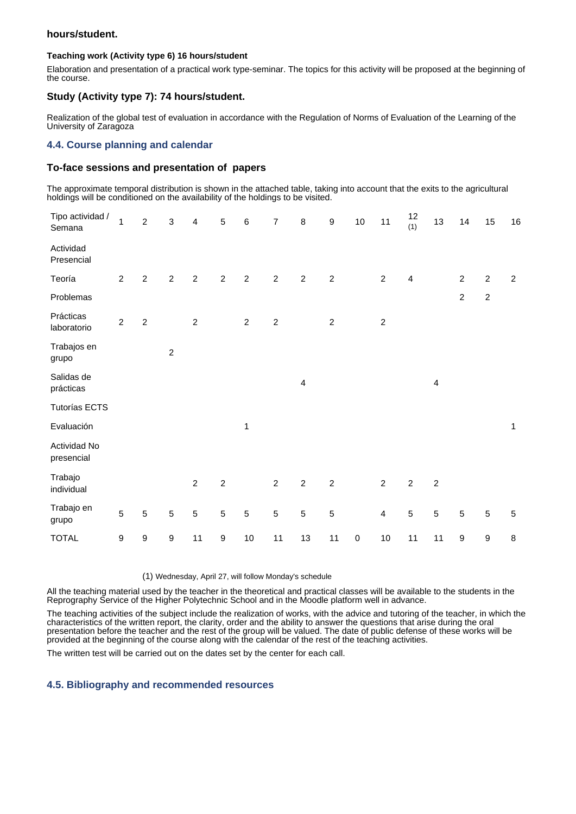## **hours/student.**

### **Teaching work (Activity type 6) 16 hours/student**

Elaboration and presentation of a practical work type-seminar. The topics for this activity will be proposed at the beginning of the course.

## **Study (Activity type 7): 74 hours/student.**

Realization of the global test of evaluation in accordance with the Regulation of Norms of Evaluation of the Learning of the University of Zaragoza

## **4.4. Course planning and calendar**

## **To-face sessions and presentation of papers**

The approximate temporal distribution is shown in the attached table, taking into account that the exits to the agricultural holdings will be conditioned on the availability of the holdings to be visited.

| Tipo actividad /<br>Semana | $\mathbf{1}$     | $\boldsymbol{2}$ | $\sqrt{3}$       | $\overline{\mathbf{4}}$ | $\mathbf 5$      | $\,6$          | $\overline{7}$ | $\bf8$                  | $\boldsymbol{9}$ | $10\,$    | 11               | 12<br>(1)      | 13                      | 14               | 15             | 16             |
|----------------------------|------------------|------------------|------------------|-------------------------|------------------|----------------|----------------|-------------------------|------------------|-----------|------------------|----------------|-------------------------|------------------|----------------|----------------|
| Actividad<br>Presencial    |                  |                  |                  |                         |                  |                |                |                         |                  |           |                  |                |                         |                  |                |                |
| Teoría                     | $\overline{2}$   | $\overline{2}$   | $\overline{2}$   | $\overline{2}$          | $\overline{2}$   | $\overline{c}$ | $\overline{2}$ | $\overline{2}$          | $\overline{c}$   |           | $\overline{2}$   | $\overline{4}$ |                         | $\overline{c}$   | $\overline{2}$ | $\overline{2}$ |
| Problemas                  |                  |                  |                  |                         |                  |                |                |                         |                  |           |                  |                |                         | $\overline{c}$   | $\overline{c}$ |                |
| Prácticas<br>laboratorio   | $\overline{2}$   | $\boldsymbol{2}$ |                  | $\overline{2}$          |                  | $\overline{2}$ | $\overline{2}$ |                         | $\overline{2}$   |           | $\boldsymbol{2}$ |                |                         |                  |                |                |
| Trabajos en<br>grupo       |                  |                  | $\sqrt{2}$       |                         |                  |                |                |                         |                  |           |                  |                |                         |                  |                |                |
| Salidas de<br>prácticas    |                  |                  |                  |                         |                  |                |                | $\overline{\mathbf{4}}$ |                  |           |                  |                | $\overline{\mathbf{4}}$ |                  |                |                |
| <b>Tutorías ECTS</b>       |                  |                  |                  |                         |                  |                |                |                         |                  |           |                  |                |                         |                  |                |                |
| Evaluación                 |                  |                  |                  |                         |                  | $\mathbf 1$    |                |                         |                  |           |                  |                |                         |                  |                | $\mathbf{1}$   |
| Actividad No<br>presencial |                  |                  |                  |                         |                  |                |                |                         |                  |           |                  |                |                         |                  |                |                |
| Trabajo<br>individual      |                  |                  |                  | $\overline{a}$          | $\boldsymbol{2}$ |                | $\overline{2}$ | $\boldsymbol{2}$        | $\sqrt{2}$       |           | $\overline{c}$   | $\overline{2}$ | $\sqrt{2}$              |                  |                |                |
| Trabajo en<br>grupo        | $\sqrt{5}$       | $\sqrt{5}$       | $\sqrt{5}$       | $\sqrt{5}$              | $\sqrt{5}$       | $\sqrt{5}$     | $\sqrt{5}$     | $\mathbf 5$             | $\mathbf 5$      |           | 4                | $\mathbf 5$    | $\sqrt{5}$              | $\sqrt{5}$       | $\sqrt{5}$     | $\sqrt{5}$     |
| <b>TOTAL</b>               | $\boldsymbol{9}$ | 9                | $\boldsymbol{9}$ | 11                      | $\boldsymbol{9}$ | $10$           | 11             | 13                      | 11               | $\pmb{0}$ | $10$             | 11             | 11                      | $\boldsymbol{9}$ | 9              | $\bf8$         |

(1) Wednesday, April 27, will follow Monday's schedule

All the teaching material used by the teacher in the theoretical and practical classes will be available to the students in the Reprography Service of the Higher Polytechnic School and in the Moodle platform well in advance.

The teaching activities of the subject include the realization of works, with the advice and tutoring of the teacher, in which the characteristics of the written report, the clarity, order and the ability to answer the questions that arise during the oral presentation before the teacher and the rest of the group will be valued. The date of public defense of these works will be provided at the beginning of the course along with the calendar of the rest of the teaching activities.

The written test will be carried out on the dates set by the center for each call.

## **4.5. Bibliography and recommended resources**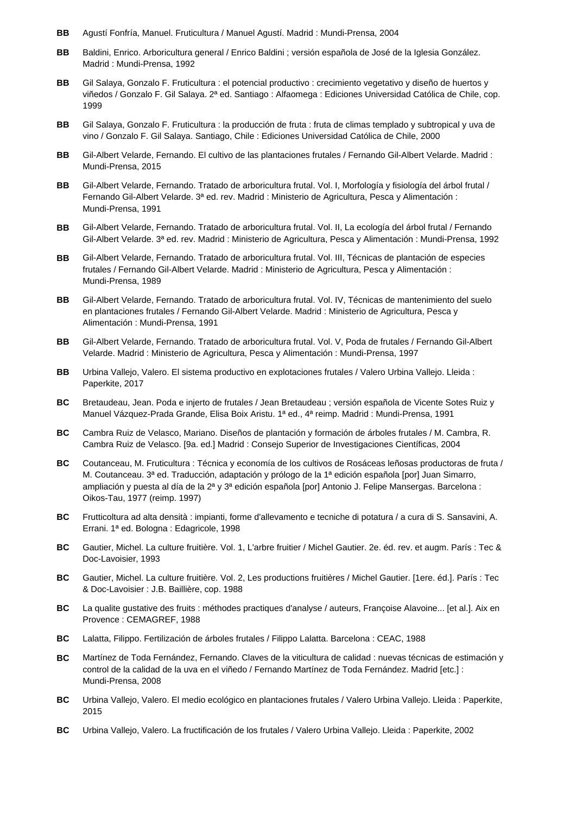- **BB** Agustí Fonfría, Manuel. Fruticultura / Manuel Agustí. Madrid : Mundi-Prensa, 2004
- **BB** Baldini, Enrico. Arboricultura general / Enrico Baldini ; versión española de José de la Iglesia González. Madrid : Mundi-Prensa, 1992
- **BB** Gil Salaya, Gonzalo F. Fruticultura : el potencial productivo : crecimiento vegetativo y diseño de huertos y viñedos / Gonzalo F. Gil Salaya. 2ª ed. Santiago : Alfaomega : Ediciones Universidad Católica de Chile, cop. 1999
- **BB** Gil Salaya, Gonzalo F. Fruticultura : la producción de fruta : fruta de climas templado y subtropical y uva de vino / Gonzalo F. Gil Salaya. Santiago, Chile : Ediciones Universidad Católica de Chile, 2000
- **BB** Gil-Albert Velarde, Fernando. El cultivo de las plantaciones frutales / Fernando Gil-Albert Velarde. Madrid : Mundi-Prensa, 2015
- **BB** Gil-Albert Velarde, Fernando. Tratado de arboricultura frutal. Vol. I, Morfología y fisiología del árbol frutal / Fernando Gil-Albert Velarde. 3ª ed. rev. Madrid : Ministerio de Agricultura, Pesca y Alimentación : Mundi-Prensa, 1991
- **BB** Gil-Albert Velarde, Fernando. Tratado de arboricultura frutal. Vol. II, La ecología del árbol frutal / Fernando Gil-Albert Velarde. 3ª ed. rev. Madrid : Ministerio de Agricultura, Pesca y Alimentación : Mundi-Prensa, 1992
- **BB** Gil-Albert Velarde, Fernando. Tratado de arboricultura frutal. Vol. III, Técnicas de plantación de especies frutales / Fernando Gil-Albert Velarde. Madrid : Ministerio de Agricultura, Pesca y Alimentación : Mundi-Prensa, 1989
- **BB** Gil-Albert Velarde, Fernando. Tratado de arboricultura frutal. Vol. IV, Técnicas de mantenimiento del suelo en plantaciones frutales / Fernando Gil-Albert Velarde. Madrid : Ministerio de Agricultura, Pesca y Alimentación : Mundi-Prensa, 1991
- **BB** Gil-Albert Velarde, Fernando. Tratado de arboricultura frutal. Vol. V, Poda de frutales / Fernando Gil-Albert Velarde. Madrid : Ministerio de Agricultura, Pesca y Alimentación : Mundi-Prensa, 1997
- **BB** Urbina Vallejo, Valero. El sistema productivo en explotaciones frutales / Valero Urbina Vallejo. Lleida : Paperkite, 2017
- **BC** Bretaudeau, Jean. Poda e injerto de frutales / Jean Bretaudeau ; versión española de Vicente Sotes Ruiz y Manuel Vázquez-Prada Grande, Elisa Boix Aristu. 1ª ed., 4ª reimp. Madrid : Mundi-Prensa, 1991
- **BC** Cambra Ruiz de Velasco, Mariano. Diseños de plantación y formación de árboles frutales / M. Cambra, R. Cambra Ruiz de Velasco. [9a. ed.] Madrid : Consejo Superior de Investigaciones Científicas, 2004
- **BC** Coutanceau, M. Fruticultura : Técnica y economía de los cultivos de Rosáceas leñosas productoras de fruta / M. Coutanceau. 3ª ed. Traducción, adaptación y prólogo de la 1ª edición española [por] Juan Simarro, ampliación y puesta al día de la 2ª y 3ª edición española [por] Antonio J. Felipe Mansergas. Barcelona : Oikos-Tau, 1977 (reimp. 1997)
- **BC** Frutticoltura ad alta densità : impianti, forme d'allevamento e tecniche di potatura / a cura di S. Sansavini, A. Errani. 1ª ed. Bologna : Edagricole, 1998
- **BC** Gautier, Michel. La culture fruitière. Vol. 1, L'arbre fruitier / Michel Gautier. 2e. éd. rev. et augm. París : Tec & Doc-Lavoisier, 1993
- **BC** Gautier, Michel. La culture fruitière. Vol. 2, Les productions fruitières / Michel Gautier. [1ere. éd.]. París : Tec & Doc-Lavoisier : J.B. Baillière, cop. 1988
- **BC** La qualite gustative des fruits : méthodes practiques d'analyse / auteurs, Françoise Alavoine... [et al.]. Aix en Provence : CEMAGREF, 1988
- **BC** Lalatta, Filippo. Fertilización de árboles frutales / Filippo Lalatta. Barcelona : CEAC, 1988
- **BC** Martínez de Toda Fernández, Fernando. Claves de la viticultura de calidad : nuevas técnicas de estimación y control de la calidad de la uva en el viñedo / Fernando Martínez de Toda Fernández. Madrid [etc.] : Mundi-Prensa, 2008
- **BC** Urbina Vallejo, Valero. El medio ecológico en plantaciones frutales / Valero Urbina Vallejo. Lleida : Paperkite, 2015
- **BC** Urbina Vallejo, Valero. La fructificación de los frutales / Valero Urbina Vallejo. Lleida : Paperkite, 2002